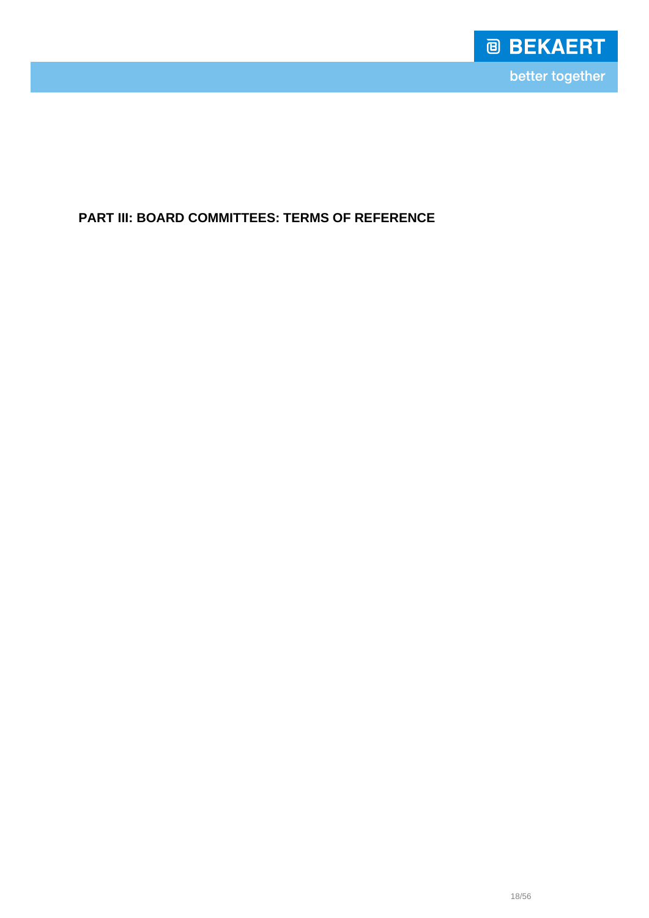

**PART III: BOARD COMMITTEES: TERMS OF REFERENCE**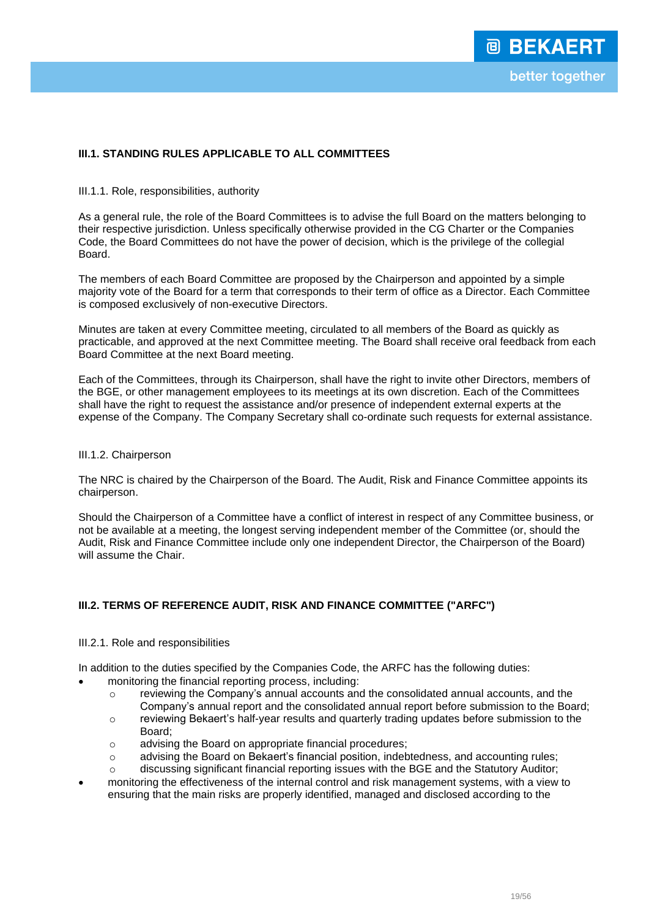## **III.1. STANDING RULES APPLICABLE TO ALL COMMITTEES**

#### III.1.1. Role, responsibilities, authority

As a general rule, the role of the Board Committees is to advise the full Board on the matters belonging to their respective jurisdiction. Unless specifically otherwise provided in the CG Charter or the Companies Code, the Board Committees do not have the power of decision, which is the privilege of the collegial Board.

The members of each Board Committee are proposed by the Chairperson and appointed by a simple majority vote of the Board for a term that corresponds to their term of office as a Director. Each Committee is composed exclusively of non-executive Directors.

Minutes are taken at every Committee meeting, circulated to all members of the Board as quickly as practicable, and approved at the next Committee meeting. The Board shall receive oral feedback from each Board Committee at the next Board meeting.

Each of the Committees, through its Chairperson, shall have the right to invite other Directors, members of the BGE, or other management employees to its meetings at its own discretion. Each of the Committees shall have the right to request the assistance and/or presence of independent external experts at the expense of the Company. The Company Secretary shall co-ordinate such requests for external assistance.

### III.1.2. Chairperson

The NRC is chaired by the Chairperson of the Board. The Audit, Risk and Finance Committee appoints its chairperson.

Should the Chairperson of a Committee have a conflict of interest in respect of any Committee business, or not be available at a meeting, the longest serving independent member of the Committee (or, should the Audit, Risk and Finance Committee include only one independent Director, the Chairperson of the Board) will assume the Chair.

## **III.2. TERMS OF REFERENCE AUDIT, RISK AND FINANCE COMMITTEE ("ARFC")**

#### III.2.1. Role and responsibilities

In addition to the duties specified by the Companies Code, the ARFC has the following duties:

- monitoring the financial reporting process, including:
	- $\circ$  reviewing the Company's annual accounts and the consolidated annual accounts, and the Company's annual report and the consolidated annual report before submission to the Board;
	- $\circ$  reviewing Bekaert's half-year results and quarterly trading updates before submission to the Board;
	- o advising the Board on appropriate financial procedures;
	- o advising the Board on Bekaert's financial position, indebtedness, and accounting rules;
	- $\circ$  discussing significant financial reporting issues with the BGE and the Statutory Auditor;
- monitoring the effectiveness of the internal control and risk management systems, with a view to ensuring that the main risks are properly identified, managed and disclosed according to the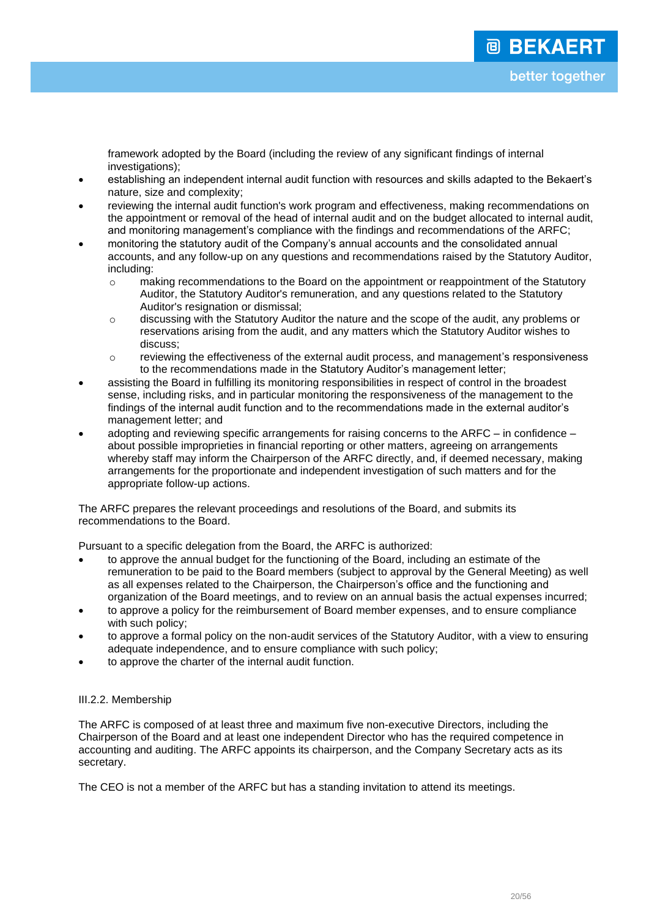framework adopted by the Board (including the review of any significant findings of internal investigations);

- establishing an independent internal audit function with resources and skills adapted to the Bekaert's nature, size and complexity;
- reviewing the internal audit function's work program and effectiveness, making recommendations on the appointment or removal of the head of internal audit and on the budget allocated to internal audit, and monitoring management's compliance with the findings and recommendations of the ARFC;
- monitoring the statutory audit of the Company's annual accounts and the consolidated annual accounts, and any follow-up on any questions and recommendations raised by the Statutory Auditor, including:
	- o making recommendations to the Board on the appointment or reappointment of the Statutory Auditor, the Statutory Auditor's remuneration, and any questions related to the Statutory Auditor's resignation or dismissal;
	- $\circ$  discussing with the Statutory Auditor the nature and the scope of the audit, any problems or reservations arising from the audit, and any matters which the Statutory Auditor wishes to discuss;
	- o reviewing the effectiveness of the external audit process, and management's responsiveness to the recommendations made in the Statutory Auditor's management letter;
- assisting the Board in fulfilling its monitoring responsibilities in respect of control in the broadest sense, including risks, and in particular monitoring the responsiveness of the management to the findings of the internal audit function and to the recommendations made in the external auditor's management letter; and
- adopting and reviewing specific arrangements for raising concerns to the ARFC in confidence about possible improprieties in financial reporting or other matters, agreeing on arrangements whereby staff may inform the Chairperson of the ARFC directly, and, if deemed necessary, making arrangements for the proportionate and independent investigation of such matters and for the appropriate follow-up actions.

The ARFC prepares the relevant proceedings and resolutions of the Board, and submits its recommendations to the Board.

Pursuant to a specific delegation from the Board, the ARFC is authorized:

- to approve the annual budget for the functioning of the Board, including an estimate of the remuneration to be paid to the Board members (subject to approval by the General Meeting) as well as all expenses related to the Chairperson, the Chairperson's office and the functioning and organization of the Board meetings, and to review on an annual basis the actual expenses incurred;
- to approve a policy for the reimbursement of Board member expenses, and to ensure compliance with such policy;
- to approve a formal policy on the non-audit services of the Statutory Auditor, with a view to ensuring adequate independence, and to ensure compliance with such policy;
- to approve the charter of the internal audit function.

## III.2.2. Membership

The ARFC is composed of at least three and maximum five non-executive Directors, including the Chairperson of the Board and at least one independent Director who has the required competence in accounting and auditing. The ARFC appoints its chairperson, and the Company Secretary acts as its secretary.

The CEO is not a member of the ARFC but has a standing invitation to attend its meetings.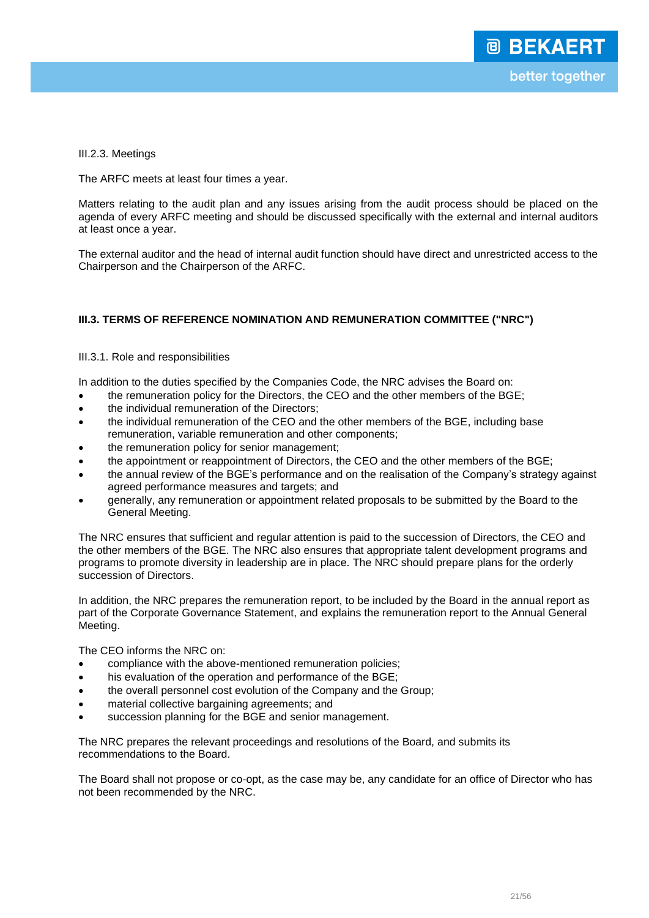III.2.3. Meetings

The ARFC meets at least four times a year.

Matters relating to the audit plan and any issues arising from the audit process should be placed on the agenda of every ARFC meeting and should be discussed specifically with the external and internal auditors at least once a year.

The external auditor and the head of internal audit function should have direct and unrestricted access to the Chairperson and the Chairperson of the ARFC.

# **III.3. TERMS OF REFERENCE NOMINATION AND REMUNERATION COMMITTEE ("NRC")**

### III.3.1. Role and responsibilities

In addition to the duties specified by the Companies Code, the NRC advises the Board on:

- the remuneration policy for the Directors, the CEO and the other members of the BGE;
- the individual remuneration of the Directors;
- the individual remuneration of the CEO and the other members of the BGE, including base remuneration, variable remuneration and other components;
- the remuneration policy for senior management;
- the appointment or reappointment of Directors, the CEO and the other members of the BGE;
- the annual review of the BGE's performance and on the realisation of the Company's strategy against agreed performance measures and targets; and
- generally, any remuneration or appointment related proposals to be submitted by the Board to the General Meeting.

The NRC ensures that sufficient and regular attention is paid to the succession of Directors, the CEO and the other members of the BGE. The NRC also ensures that appropriate talent development programs and programs to promote diversity in leadership are in place. The NRC should prepare plans for the orderly succession of Directors.

In addition, the NRC prepares the remuneration report, to be included by the Board in the annual report as part of the Corporate Governance Statement, and explains the remuneration report to the Annual General Meeting.

The CEO informs the NRC on:

- compliance with the above-mentioned remuneration policies;
- his evaluation of the operation and performance of the BGE;
- the overall personnel cost evolution of the Company and the Group;
- material collective bargaining agreements; and
- succession planning for the BGE and senior management.

The NRC prepares the relevant proceedings and resolutions of the Board, and submits its recommendations to the Board.

The Board shall not propose or co-opt, as the case may be, any candidate for an office of Director who has not been recommended by the NRC.